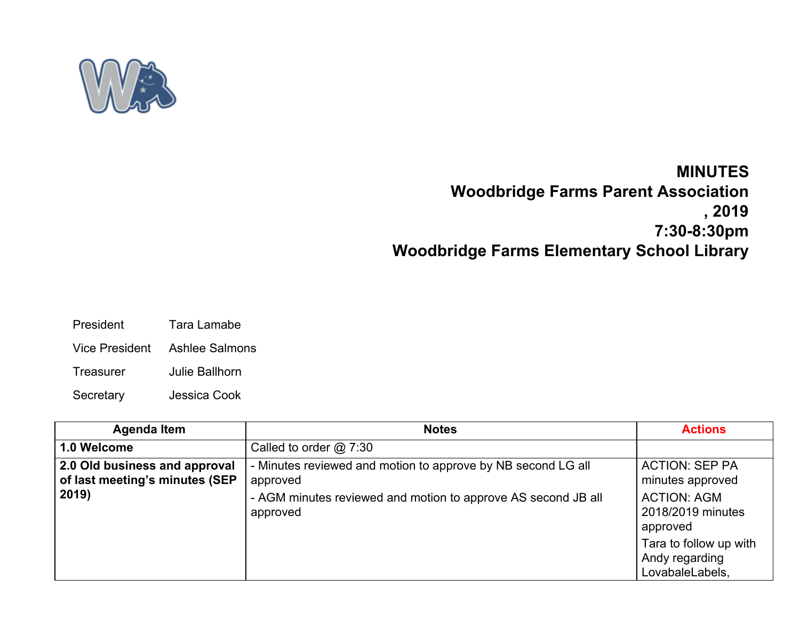

## **MINUTES Woodbridge Farms Parent Association , 2019 7:30-8:30pm Woodbridge Farms Elementary School Library**

- President Tara Lamabe
- Vice President Ashlee Salmons
- Treasurer Julie Ballhorn
- Secretary Jessica Cook

| <b>Agenda Item</b>                                                       | <b>Notes</b>                                                                                                                                          | <b>Actions</b>                                                                                   |
|--------------------------------------------------------------------------|-------------------------------------------------------------------------------------------------------------------------------------------------------|--------------------------------------------------------------------------------------------------|
| 1.0 Welcome                                                              | Called to order $@7:30$                                                                                                                               |                                                                                                  |
| 2.0 Old business and approval<br>of last meeting's minutes (SEP<br>2019) | - Minutes reviewed and motion to approve by NB second LG all<br>approved<br>- AGM minutes reviewed and motion to approve AS second JB all<br>approved | <b>ACTION: SEP PA</b><br>minutes approved<br><b>ACTION: AGM</b><br>2018/2019 minutes<br>approved |
|                                                                          |                                                                                                                                                       | Tara to follow up with<br>Andy regarding<br>LovabaleLabels,                                      |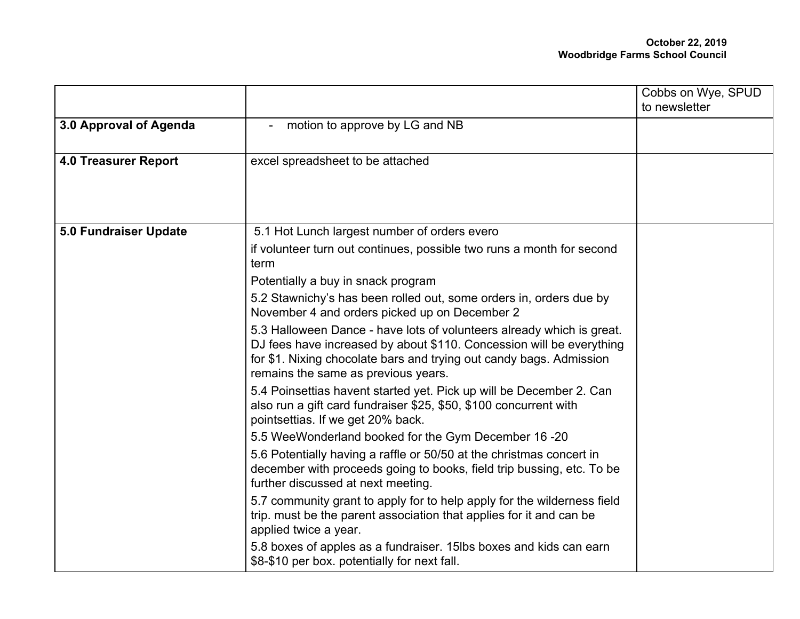|                             |                                                                                                                                                                                                                                                             | Cobbs on Wye, SPUD<br>to newsletter |
|-----------------------------|-------------------------------------------------------------------------------------------------------------------------------------------------------------------------------------------------------------------------------------------------------------|-------------------------------------|
| 3.0 Approval of Agenda      | motion to approve by LG and NB<br>$\blacksquare$                                                                                                                                                                                                            |                                     |
| <b>4.0 Treasurer Report</b> | excel spreadsheet to be attached                                                                                                                                                                                                                            |                                     |
| 5.0 Fundraiser Update       | 5.1 Hot Lunch largest number of orders evero                                                                                                                                                                                                                |                                     |
|                             | if volunteer turn out continues, possible two runs a month for second<br>term                                                                                                                                                                               |                                     |
|                             | Potentially a buy in snack program                                                                                                                                                                                                                          |                                     |
|                             | 5.2 Stawnichy's has been rolled out, some orders in, orders due by<br>November 4 and orders picked up on December 2                                                                                                                                         |                                     |
|                             | 5.3 Halloween Dance - have lots of volunteers already which is great.<br>DJ fees have increased by about \$110. Concession will be everything<br>for \$1. Nixing chocolate bars and trying out candy bags. Admission<br>remains the same as previous years. |                                     |
|                             | 5.4 Poinsettias havent started yet. Pick up will be December 2. Can<br>also run a gift card fundraiser \$25, \$50, \$100 concurrent with<br>pointsettias. If we get 20% back.                                                                               |                                     |
|                             | 5.5 WeeWonderland booked for the Gym December 16 -20                                                                                                                                                                                                        |                                     |
|                             | 5.6 Potentially having a raffle or 50/50 at the christmas concert in<br>december with proceeds going to books, field trip bussing, etc. To be<br>further discussed at next meeting.                                                                         |                                     |
|                             | 5.7 community grant to apply for to help apply for the wilderness field<br>trip. must be the parent association that applies for it and can be<br>applied twice a year.                                                                                     |                                     |
|                             | 5.8 boxes of apples as a fundraiser. 15lbs boxes and kids can earn<br>\$8-\$10 per box. potentially for next fall.                                                                                                                                          |                                     |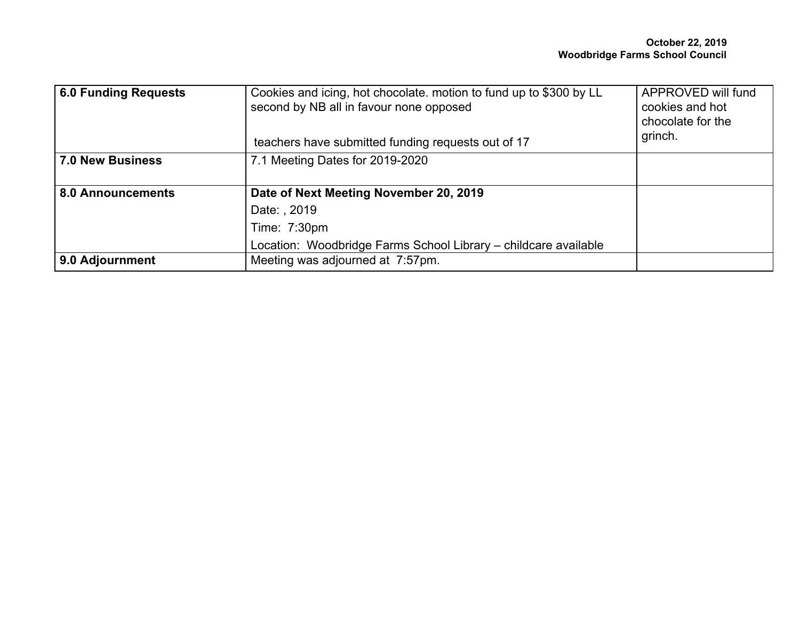| 6.0 Funding Requests     | Cookies and icing, hot chocolate. motion to fund up to \$300 by LL<br>second by NB all in favour none opposed | APPROVED will fund<br>cookies and hot<br>chocolate for the |
|--------------------------|---------------------------------------------------------------------------------------------------------------|------------------------------------------------------------|
|                          | teachers have submitted funding requests out of 17                                                            | grinch.                                                    |
| 7.0 New Business         | 7.1 Meeting Dates for 2019-2020                                                                               |                                                            |
| <b>8.0 Announcements</b> | Date of Next Meeting November 20, 2019                                                                        |                                                            |
|                          | Date: , 2019                                                                                                  |                                                            |
|                          | Time: 7:30pm                                                                                                  |                                                            |
|                          | Location: Woodbridge Farms School Library - childcare available                                               |                                                            |
| 9.0 Adjournment          | Meeting was adjourned at 7:57pm.                                                                              |                                                            |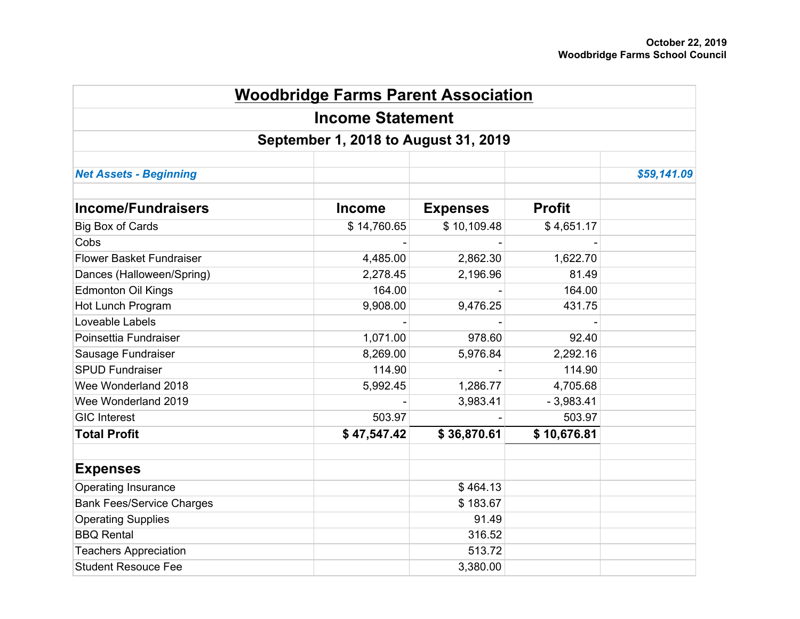| <b>Woodbridge Farms Parent Association</b>                      |               |                 |               |             |  |  |
|-----------------------------------------------------------------|---------------|-----------------|---------------|-------------|--|--|
| <b>Income Statement</b><br>September 1, 2018 to August 31, 2019 |               |                 |               |             |  |  |
|                                                                 |               |                 |               |             |  |  |
| <b>Net Assets - Beginning</b>                                   |               |                 |               | \$59,141.09 |  |  |
| <b>Income/Fundraisers</b>                                       | <b>Income</b> | <b>Expenses</b> | <b>Profit</b> |             |  |  |
| <b>Big Box of Cards</b>                                         | \$14,760.65   | \$10,109.48     | \$4,651.17    |             |  |  |
| Cobs                                                            |               |                 |               |             |  |  |
| <b>Flower Basket Fundraiser</b>                                 | 4,485.00      | 2,862.30        | 1,622.70      |             |  |  |
| Dances (Halloween/Spring)                                       | 2,278.45      | 2,196.96        | 81.49         |             |  |  |
| <b>Edmonton Oil Kings</b>                                       | 164.00        |                 | 164.00        |             |  |  |
| Hot Lunch Program                                               | 9,908.00      | 9,476.25        | 431.75        |             |  |  |
| Loveable Labels                                                 |               |                 |               |             |  |  |
| Poinsettia Fundraiser                                           | 1,071.00      | 978.60          | 92.40         |             |  |  |
| Sausage Fundraiser                                              | 8,269.00      | 5,976.84        | 2,292.16      |             |  |  |
| <b>SPUD Fundraiser</b>                                          | 114.90        |                 | 114.90        |             |  |  |
| Wee Wonderland 2018                                             | 5,992.45      | 1,286.77        | 4,705.68      |             |  |  |
| Wee Wonderland 2019                                             |               | 3,983.41        | $-3,983.41$   |             |  |  |
| <b>GIC Interest</b>                                             | 503.97        |                 | 503.97        |             |  |  |
| <b>Total Profit</b>                                             | \$47,547.42   | \$36,870.61     | \$10,676.81   |             |  |  |
| <b>Expenses</b>                                                 |               |                 |               |             |  |  |
| Operating Insurance                                             |               | \$464.13        |               |             |  |  |
| <b>Bank Fees/Service Charges</b>                                |               | \$183.67        |               |             |  |  |
| <b>Operating Supplies</b>                                       |               | 91.49           |               |             |  |  |
| <b>BBQ Rental</b>                                               |               | 316.52          |               |             |  |  |
| <b>Teachers Appreciation</b>                                    |               | 513.72          |               |             |  |  |
| <b>Student Resouce Fee</b>                                      |               | 3,380.00        |               |             |  |  |